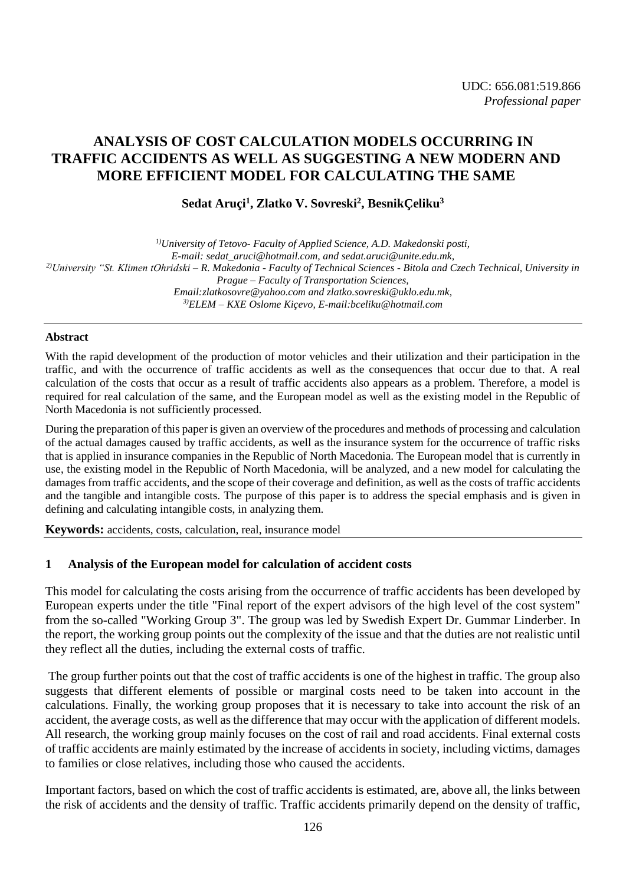# **ANALYSIS OF COST CALCULATION MODELS OCCURRING IN TRAFFIC ACCIDENTS AS WELL AS SUGGESTING A NEW MODERN AND MORE EFFICIENT MODEL FOR CALCULATING THE SAME**

## **Sedat Aruçi 1 , Zlatko V. Sovreski<sup>2</sup> , BesnikÇeliku<sup>3</sup>**

*1)University of Tetovo- Faculty of Applied Science, A.D. Makedonski posti, E-mail: sedat\_aruci@hotmail.com, an[d sedat.aruci@unite.edu.mk,](mailto:sedat.aruci@unite.edu.mk) 2)University "St. Klimen tOhridski – R. Makedonia - Faculty of Technical Sciences - Bitola and Czech Technical, University in Prague – Faculty of Transportation Sciences, Email[:zlatkosovre@yahoo.com](mailto:zlatkosovre@yahoo.com) and [zlatko.sovreski@uklo.edu.mk,](mailto:zlatko.sovreski@uklo.edu.mk) 3)ELEM – KXE Oslome Kiçevo, E-mail:bceliku@hotmail.com*

## **Abstract**

With the rapid development of the production of motor vehicles and their utilization and their participation in the traffic, and with the occurrence of traffic accidents as well as the consequences that occur due to that. A real calculation of the costs that occur as a result of traffic accidents also appears as a problem. Therefore, a model is required for real calculation of the same, and the European model as well as the existing model in the Republic of North Macedonia is not sufficiently processed.

During the preparation of this paper is given an overview of the procedures and methods of processing and calculation of the actual damages caused by traffic accidents, as well as the insurance system for the occurrence of traffic risks that is applied in insurance companies in the Republic of North Macedonia. The European model that is currently in use, the existing model in the Republic of North Macedonia, will be analyzed, and a new model for calculating the damages from traffic accidents, and the scope of their coverage and definition, as well as the costs of traffic accidents and the tangible and intangible costs. The purpose of this paper is to address the special emphasis and is given in defining and calculating intangible costs, in analyzing them.

**Keywords:** accidents, costs, calculation, real, insurance model

## **1 Analysis of the European model for calculation of accident costs**

This model for calculating the costs arising from the occurrence of traffic accidents has been developed by European experts under the title "Final report of the expert advisors of the high level of the cost system" from the so-called "Working Group 3". The group was led by Swedish Expert Dr. Gummar Linderber. In the report, the working group points out the complexity of the issue and that the duties are not realistic until they reflect all the duties, including the external costs of traffic.

The group further points out that the cost of traffic accidents is one of the highest in traffic. The group also suggests that different elements of possible or marginal costs need to be taken into account in the calculations. Finally, the working group proposes that it is necessary to take into account the risk of an accident, the average costs, as well as the difference that may occur with the application of different models. All research, the working group mainly focuses on the cost of rail and road accidents. Final external costs of traffic accidents are mainly estimated by the increase of accidents in society, including victims, damages to families or close relatives, including those who caused the accidents.

Important factors, based on which the cost of traffic accidents is estimated, are, above all, the links between the risk of accidents and the density of traffic. Traffic accidents primarily depend on the density of traffic,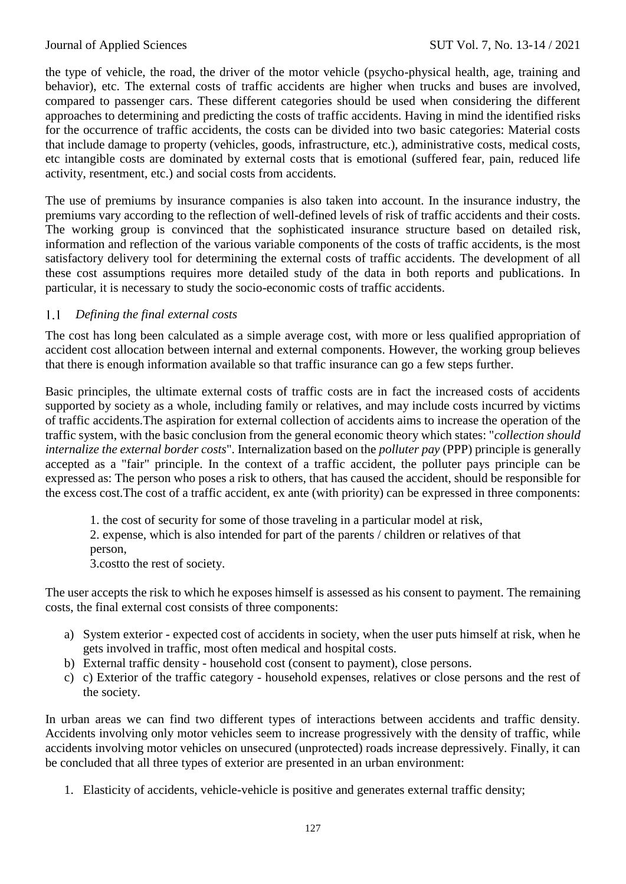the type of vehicle, the road, the driver of the motor vehicle (psycho-physical health, age, training and behavior), etc. The external costs of traffic accidents are higher when trucks and buses are involved, compared to passenger cars. These different categories should be used when considering the different approaches to determining and predicting the costs of traffic accidents. Having in mind the identified risks for the occurrence of traffic accidents, the costs can be divided into two basic categories: Material costs that include damage to property (vehicles, goods, infrastructure, etc.), administrative costs, medical costs, etc intangible costs are dominated by external costs that is emotional (suffered fear, pain, reduced life activity, resentment, etc.) and social costs from accidents.

The use of premiums by insurance companies is also taken into account. In the insurance industry, the premiums vary according to the reflection of well-defined levels of risk of traffic accidents and their costs. The working group is convinced that the sophisticated insurance structure based on detailed risk, information and reflection of the various variable components of the costs of traffic accidents, is the most satisfactory delivery tool for determining the external costs of traffic accidents. The development of all these cost assumptions requires more detailed study of the data in both reports and publications. In particular, it is necessary to study the socio-economic costs of traffic accidents.

## $1.1$ *Defining the final external costs*

The cost has long been calculated as a simple average cost, with more or less qualified appropriation of accident cost allocation between internal and external components. However, the working group believes that there is enough information available so that traffic insurance can go a few steps further.

Basic principles, the ultimate external costs of traffic costs are in fact the increased costs of accidents supported by society as a whole, including family or relatives, and may include costs incurred by victims of traffic accidents.The aspiration for external collection of accidents aims to increase the operation of the traffic system, with the basic conclusion from the general economic theory which states: "*collection should internalize the external border costs*". Internalization based on the *polluter pay* (PPP) principle is generally accepted as a "fair" principle. In the context of a traffic accident, the polluter pays principle can be expressed as: The person who poses a risk to others, that has caused the accident, should be responsible for the excess cost.The cost of a traffic accident, ex ante (with priority) can be expressed in three components:

1. the cost of security for some of those traveling in a particular model at risk,

2. expense, which is also intended for part of the parents / children or relatives of that person,

3.costto the rest of society.

The user accepts the risk to which he exposes himself is assessed as his consent to payment. The remaining costs, the final external cost consists of three components:

- a) System exterior expected cost of accidents in society, when the user puts himself at risk, when he gets involved in traffic, most often medical and hospital costs.
- b) External traffic density household cost (consent to payment), close persons.
- c) c) Exterior of the traffic category household expenses, relatives or close persons and the rest of the society.

In urban areas we can find two different types of interactions between accidents and traffic density. Accidents involving only motor vehicles seem to increase progressively with the density of traffic, while accidents involving motor vehicles on unsecured (unprotected) roads increase depressively. Finally, it can be concluded that all three types of exterior are presented in an urban environment:

1. Elasticity of accidents, vehicle-vehicle is positive and generates external traffic density;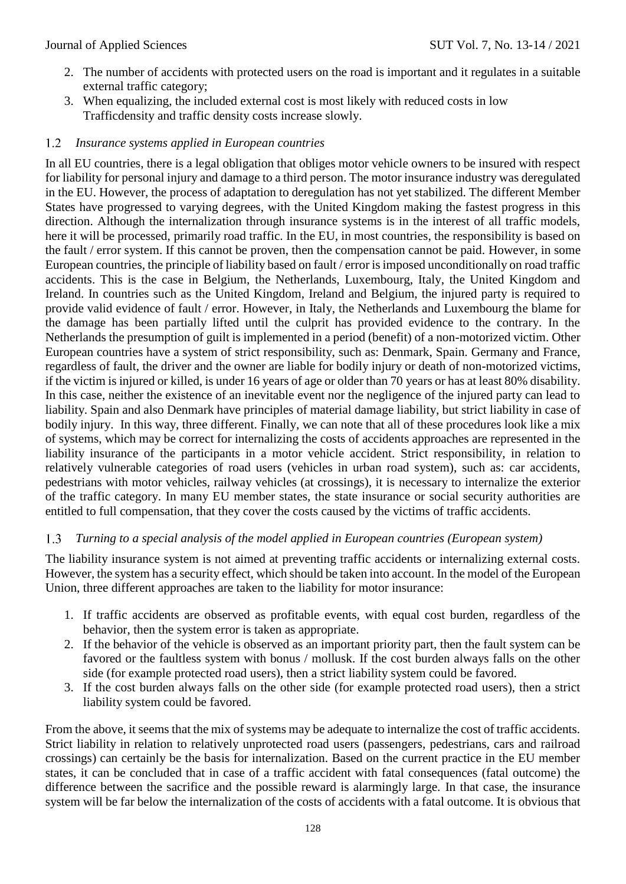- 2. The number of accidents with protected users on the road is important and it regulates in a suitable external traffic category;
- 3. When equalizing, the included external cost is most likely with reduced costs in low Trafficdensity and traffic density costs increase slowly.

# *Insurance systems applied in European countries*

In all EU countries, there is a legal obligation that obliges motor vehicle owners to be insured with respect for liability for personal injury and damage to a third person. The motor insurance industry was deregulated in the EU. However, the process of adaptation to deregulation has not yet stabilized. The different Member States have progressed to varying degrees, with the United Kingdom making the fastest progress in this direction. Although the internalization through insurance systems is in the interest of all traffic models, here it will be processed, primarily road traffic. In the EU, in most countries, the responsibility is based on the fault / error system. If this cannot be proven, then the compensation cannot be paid. However, in some European countries, the principle of liability based on fault / error is imposed unconditionally on road traffic accidents. This is the case in Belgium, the Netherlands, Luxembourg, Italy, the United Kingdom and Ireland. In countries such as the United Kingdom, Ireland and Belgium, the injured party is required to provide valid evidence of fault / error. However, in Italy, the Netherlands and Luxembourg the blame for the damage has been partially lifted until the culprit has provided evidence to the contrary. In the Netherlands the presumption of guilt is implemented in a period (benefit) of a non-motorized victim. Other European countries have a system of strict responsibility, such as: Denmark, Spain. Germany and France, regardless of fault, the driver and the owner are liable for bodily injury or death of non-motorized victims, if the victim is injured or killed, is under 16 years of age or older than 70 years or has at least 80% disability. In this case, neither the existence of an inevitable event nor the negligence of the injured party can lead to liability. Spain and also Denmark have principles of material damage liability, but strict liability in case of bodily injury. In this way, three different. Finally, we can note that all of these procedures look like a mix of systems, which may be correct for internalizing the costs of accidents approaches are represented in the liability insurance of the participants in a motor vehicle accident. Strict responsibility, in relation to relatively vulnerable categories of road users (vehicles in urban road system), such as: car accidents, pedestrians with motor vehicles, railway vehicles (at crossings), it is necessary to internalize the exterior of the traffic category. In many EU member states, the state insurance or social security authorities are entitled to full compensation, that they cover the costs caused by the victims of traffic accidents.

## $1.3$ *Turning to a special analysis of the model applied in European countries (European system)*

The liability insurance system is not aimed at preventing traffic accidents or internalizing external costs. However, the system has a security effect, which should be taken into account. In the model of the European Union, three different approaches are taken to the liability for motor insurance:

- 1. If traffic accidents are observed as profitable events, with equal cost burden, regardless of the behavior, then the system error is taken as appropriate.
- 2. If the behavior of the vehicle is observed as an important priority part, then the fault system can be favored or the faultless system with bonus / mollusk. If the cost burden always falls on the other side (for example protected road users), then a strict liability system could be favored.
- 3. If the cost burden always falls on the other side (for example protected road users), then a strict liability system could be favored.

From the above, it seems that the mix of systems may be adequate to internalize the cost of traffic accidents. Strict liability in relation to relatively unprotected road users (passengers, pedestrians, cars and railroad crossings) can certainly be the basis for internalization. Based on the current practice in the EU member states, it can be concluded that in case of a traffic accident with fatal consequences (fatal outcome) the difference between the sacrifice and the possible reward is alarmingly large. In that case, the insurance system will be far below the internalization of the costs of accidents with a fatal outcome. It is obvious that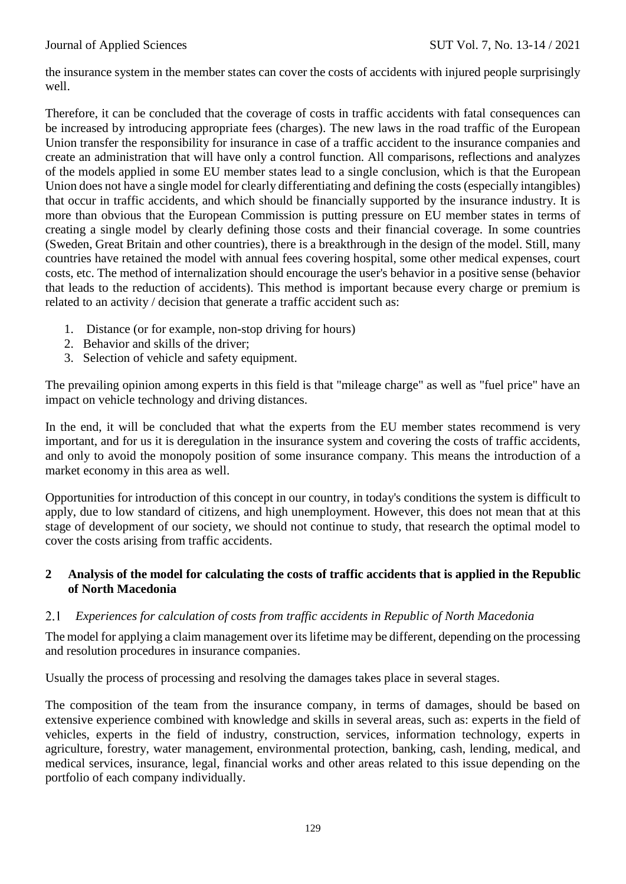the insurance system in the member states can cover the costs of accidents with injured people surprisingly well.

Therefore, it can be concluded that the coverage of costs in traffic accidents with fatal consequences can be increased by introducing appropriate fees (charges). The new laws in the road traffic of the European Union transfer the responsibility for insurance in case of a traffic accident to the insurance companies and create an administration that will have only a control function. All comparisons, reflections and analyzes of the models applied in some EU member states lead to a single conclusion, which is that the European Union does not have a single model for clearly differentiating and defining the costs (especially intangibles) that occur in traffic accidents, and which should be financially supported by the insurance industry. It is more than obvious that the European Commission is putting pressure on EU member states in terms of creating a single model by clearly defining those costs and their financial coverage. In some countries (Sweden, Great Britain and other countries), there is a breakthrough in the design of the model. Still, many countries have retained the model with annual fees covering hospital, some other medical expenses, court costs, etc. The method of internalization should encourage the user's behavior in a positive sense (behavior that leads to the reduction of accidents). This method is important because every charge or premium is related to an activity / decision that generate a traffic accident such as:

- 1. Distance (or for example, non-stop driving for hours)
- 2. Behavior and skills of the driver;
- 3. Selection of vehicle and safety equipment.

The prevailing opinion among experts in this field is that "mileage charge" as well as "fuel price" have an impact on vehicle technology and driving distances.

In the end, it will be concluded that what the experts from the EU member states recommend is very important, and for us it is deregulation in the insurance system and covering the costs of traffic accidents, and only to avoid the monopoly position of some insurance company. This means the introduction of a market economy in this area as well.

Opportunities for introduction of this concept in our country, in today's conditions the system is difficult to apply, due to low standard of citizens, and high unemployment. However, this does not mean that at this stage of development of our society, we should not continue to study, that research the optimal model to cover the costs arising from traffic accidents.

# **2 Analysis of the model for calculating the costs of traffic accidents that is applied in the Republic of North Macedonia**

## 2.1 *Experiences for calculation of costs from traffic accidents in Republic of North Macedonia*

The model for applying a claim management over its lifetime may be different, depending on the processing and resolution procedures in insurance companies.

Usually the process of processing and resolving the damages takes place in several stages.

The composition of the team from the insurance company, in terms of damages, should be based on extensive experience combined with knowledge and skills in several areas, such as: experts in the field of vehicles, experts in the field of industry, construction, services, information technology, experts in agriculture, forestry, water management, environmental protection, banking, cash, lending, medical, and medical services, insurance, legal, financial works and other areas related to this issue depending on the portfolio of each company individually.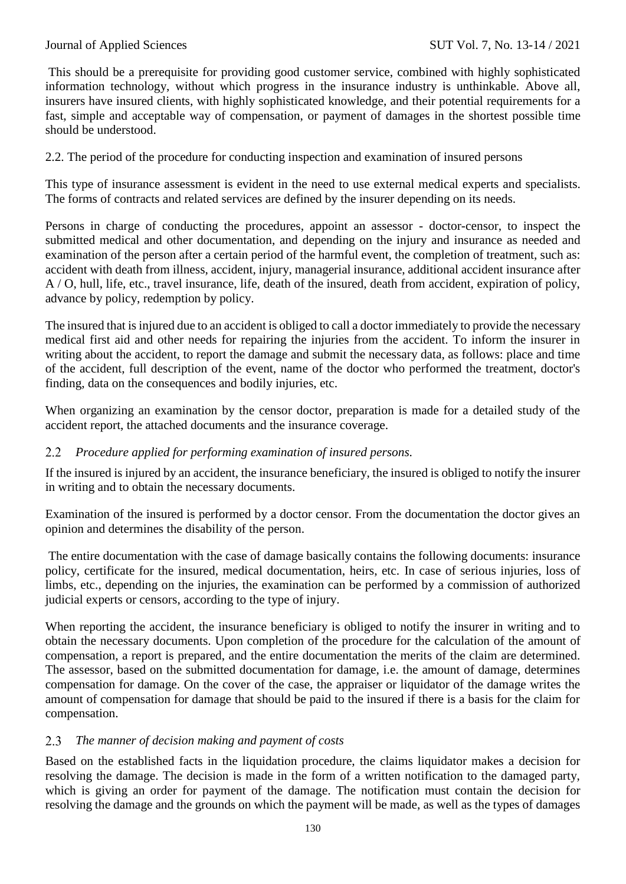This should be a prerequisite for providing good customer service, combined with highly sophisticated information technology, without which progress in the insurance industry is unthinkable. Above all, insurers have insured clients, with highly sophisticated knowledge, and their potential requirements for a fast, simple and acceptable way of compensation, or payment of damages in the shortest possible time should be understood.

2.2. The period of the procedure for conducting inspection and examination of insured persons

This type of insurance assessment is evident in the need to use external medical experts and specialists. The forms of contracts and related services are defined by the insurer depending on its needs.

Persons in charge of conducting the procedures, appoint an assessor - doctor-censor, to inspect the submitted medical and other documentation, and depending on the injury and insurance as needed and examination of the person after a certain period of the harmful event, the completion of treatment, such as: accident with death from illness, accident, injury, managerial insurance, additional accident insurance after A / O, hull, life, etc., travel insurance, life, death of the insured, death from accident, expiration of policy, advance by policy, redemption by policy.

The insured that is injured due to an accident is obliged to call a doctor immediately to provide the necessary medical first aid and other needs for repairing the injuries from the accident. To inform the insurer in writing about the accident, to report the damage and submit the necessary data, as follows: place and time of the accident, full description of the event, name of the doctor who performed the treatment, doctor's finding, data on the consequences and bodily injuries, etc.

When organizing an examination by the censor doctor, preparation is made for a detailed study of the accident report, the attached documents and the insurance coverage.

## 2.2 *Procedure applied for performing examination of insured persons.*

If the insured is injured by an accident, the insurance beneficiary, the insured is obliged to notify the insurer in writing and to obtain the necessary documents.

Examination of the insured is performed by a doctor censor. From the documentation the doctor gives an opinion and determines the disability of the person.

The entire documentation with the case of damage basically contains the following documents: insurance policy, certificate for the insured, medical documentation, heirs, etc. In case of serious injuries, loss of limbs, etc., depending on the injuries, the examination can be performed by a commission of authorized judicial experts or censors, according to the type of injury.

When reporting the accident, the insurance beneficiary is obliged to notify the insurer in writing and to obtain the necessary documents. Upon completion of the procedure for the calculation of the amount of compensation, a report is prepared, and the entire documentation the merits of the claim are determined. The assessor, based on the submitted documentation for damage, i.e. the amount of damage, determines compensation for damage. On the cover of the case, the appraiser or liquidator of the damage writes the amount of compensation for damage that should be paid to the insured if there is a basis for the claim for compensation.

## *The manner of decision making and payment of costs* 2.3

Based on the established facts in the liquidation procedure, the claims liquidator makes a decision for resolving the damage. The decision is made in the form of a written notification to the damaged party, which is giving an order for payment of the damage. The notification must contain the decision for resolving the damage and the grounds on which the payment will be made, as well as the types of damages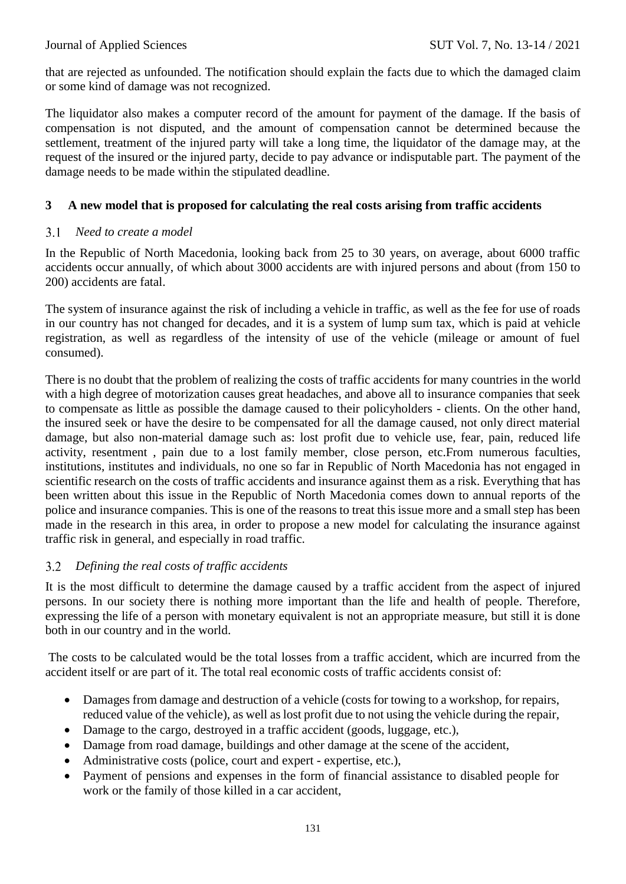that are rejected as unfounded. The notification should explain the facts due to which the damaged claim or some kind of damage was not recognized.

The liquidator also makes a computer record of the amount for payment of the damage. If the basis of compensation is not disputed, and the amount of compensation cannot be determined because the settlement, treatment of the injured party will take a long time, the liquidator of the damage may, at the request of the insured or the injured party, decide to pay advance or indisputable part. The payment of the damage needs to be made within the stipulated deadline.

# **3 A new model that is proposed for calculating the real costs arising from traffic accidents**

## $3.1$ *Need to create a model*

In the Republic of North Macedonia, looking back from 25 to 30 years, on average, about 6000 traffic accidents occur annually, of which about 3000 accidents are with injured persons and about (from 150 to 200) accidents are fatal.

The system of insurance against the risk of including a vehicle in traffic, as well as the fee for use of roads in our country has not changed for decades, and it is a system of lump sum tax, which is paid at vehicle registration, as well as regardless of the intensity of use of the vehicle (mileage or amount of fuel consumed).

There is no doubt that the problem of realizing the costs of traffic accidents for many countries in the world with a high degree of motorization causes great headaches, and above all to insurance companies that seek to compensate as little as possible the damage caused to their policyholders - clients. On the other hand, the insured seek or have the desire to be compensated for all the damage caused, not only direct material damage, but also non-material damage such as: lost profit due to vehicle use, fear, pain, reduced life activity, resentment , pain due to a lost family member, close person, etc.From numerous faculties, institutions, institutes and individuals, no one so far in Republic of North Macedonia has not engaged in scientific research on the costs of traffic accidents and insurance against them as a risk. Everything that has been written about this issue in the Republic of North Macedonia comes down to annual reports of the police and insurance companies. This is one of the reasons to treat this issue more and a small step has been made in the research in this area, in order to propose a new model for calculating the insurance against traffic risk in general, and especially in road traffic.

## *Defining the real costs of traffic accidents*  $3.2$

It is the most difficult to determine the damage caused by a traffic accident from the aspect of injured persons. In our society there is nothing more important than the life and health of people. Therefore, expressing the life of a person with monetary equivalent is not an appropriate measure, but still it is done both in our country and in the world.

The costs to be calculated would be the total losses from a traffic accident, which are incurred from the accident itself or are part of it. The total real economic costs of traffic accidents consist of:

- Damages from damage and destruction of a vehicle (costs for towing to a workshop, for repairs, reduced value of the vehicle), as well as lost profit due to not using the vehicle during the repair,
- Damage to the cargo, destroved in a traffic accident (goods, luggage, etc.).
- Damage from road damage, buildings and other damage at the scene of the accident,
- Administrative costs (police, court and expert expertise, etc.),
- Payment of pensions and expenses in the form of financial assistance to disabled people for work or the family of those killed in a car accident,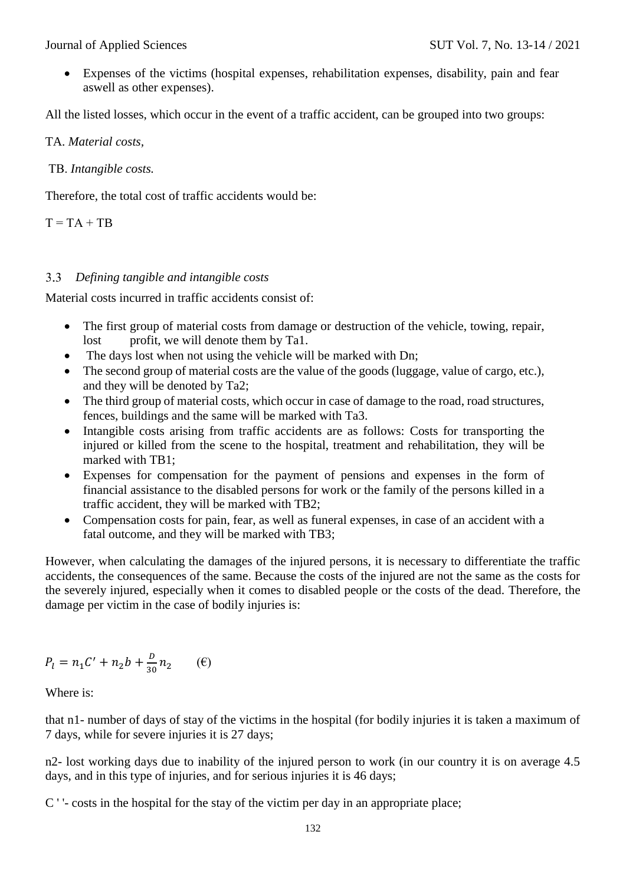Expenses of the victims (hospital expenses, rehabilitation expenses, disability, pain and fear aswell as other expenses).

All the listed losses, which occur in the event of a traffic accident, can be grouped into two groups:

TA. *Material costs,*

ТB. *Intangible costs.* 

Therefore, the total cost of traffic accidents would be:

 $T = TA + TB$ 

# *Defining tangible and intangible costs*

Material costs incurred in traffic accidents consist of:

- The first group of material costs from damage or destruction of the vehicle, towing, repair, lost profit, we will denote them by Ta1.
- The days lost when not using the vehicle will be marked with Dn:
- The second group of material costs are the value of the goods (luggage, value of cargo, etc.), and they will be denoted by Ta2;
- The third group of material costs, which occur in case of damage to the road, road structures, fences, buildings and the same will be marked with Ta3.
- Intangible costs arising from traffic accidents are as follows: Costs for transporting the injured or killed from the scene to the hospital, treatment and rehabilitation, they will be marked with TB1;
- Expenses for compensation for the payment of pensions and expenses in the form of financial assistance to the disabled persons for work or the family of the persons killed in a traffic accident, they will be marked with TB2;
- Compensation costs for pain, fear, as well as funeral expenses, in case of an accident with a fatal outcome, and they will be marked with TB3;

However, when calculating the damages of the injured persons, it is necessary to differentiate the traffic accidents, the consequences of the same. Because the costs of the injured are not the same as the costs for the severely injured, especially when it comes to disabled people or the costs of the dead. Therefore, the damage per victim in the case of bodily injuries is:

$$
P_l = n_1 C' + n_2 b + \frac{b}{30} n_2 \qquad (\mathbf{e})
$$

Where is:

that n1- number of days of stay of the victims in the hospital (for bodily injuries it is taken a maximum of 7 days, while for severe injuries it is 27 days;

n2- lost working days due to inability of the injured person to work (in our country it is on average 4.5 days, and in this type of injuries, and for serious injuries it is 46 days;

C ' '- costs in the hospital for the stay of the victim per day in an appropriate place;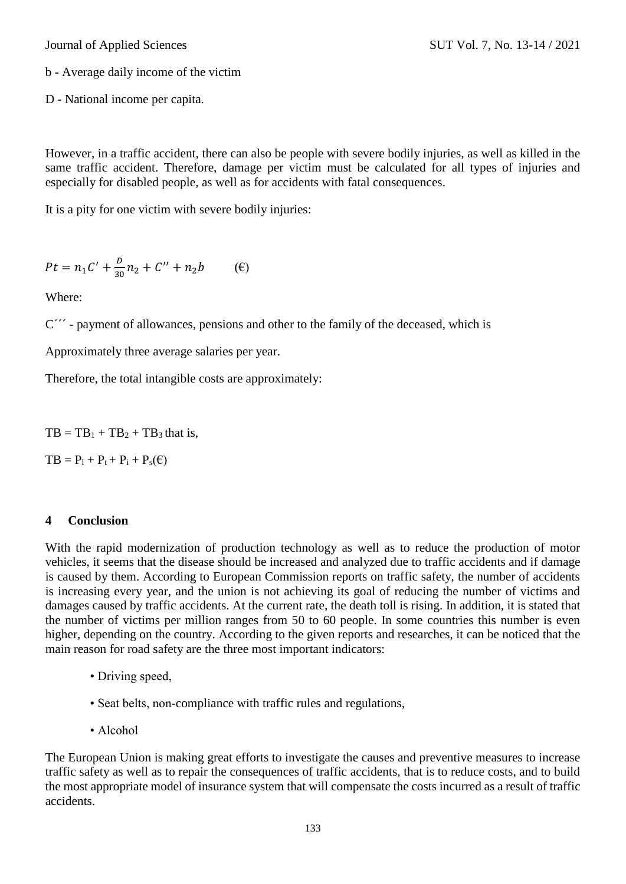b - Average daily income of the victim

D - National income per capita.

However, in a traffic accident, there can also be people with severe bodily injuries, as well as killed in the same traffic accident. Therefore, damage per victim must be calculated for all types of injuries and especially for disabled people, as well as for accidents with fatal consequences.

It is a pity for one victim with severe bodily injuries:

$$
Pt = n_1 C' + \frac{D}{30} n_2 + C'' + n_2 b \tag{6}
$$

Where:

C<sup>"</sup> - payment of allowances, pensions and other to the family of the deceased, which is

Approximately three average salaries per year.

Therefore, the total intangible costs are approximately:

 $TB = TB<sub>1</sub> + TB<sub>2</sub> + TB<sub>3</sub> that is,$ 

 $TB = P_1 + P_t + P_i + P_s(\mathcal{E})$ 

## **4 Conclusion**

With the rapid modernization of production technology as well as to reduce the production of motor vehicles, it seems that the disease should be increased and analyzed due to traffic accidents and if damage is caused by them. According to European Commission reports on traffic safety, the number of accidents is increasing every year, and the union is not achieving its goal of reducing the number of victims and damages caused by traffic accidents. At the current rate, the death toll is rising. In addition, it is stated that the number of victims per million ranges from 50 to 60 people. In some countries this number is even higher, depending on the country. According to the given reports and researches, it can be noticed that the main reason for road safety are the three most important indicators:

- Driving speed,
- Seat belts, non-compliance with traffic rules and regulations,
- Alcohol

The European Union is making great efforts to investigate the causes and preventive measures to increase traffic safety as well as to repair the consequences of traffic accidents, that is to reduce costs, and to build the most appropriate model of insurance system that will compensate the costs incurred as a result of traffic accidents.